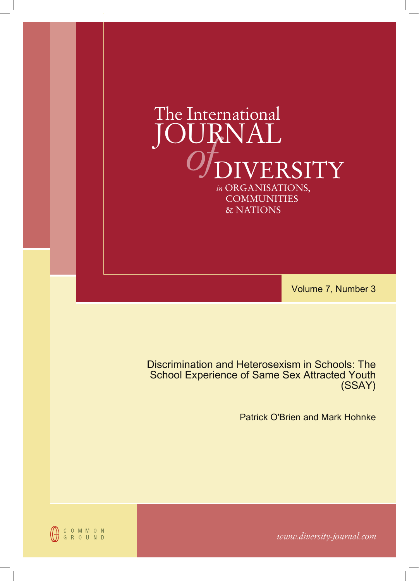

Volume 7, Number 3

Discrimination and Heterosexism in Schools: The School Experience of Same Sex Attracted Youth (SSAY)

Patrick O'Brien and Mark Hohnke



*www.diversity-journal.com*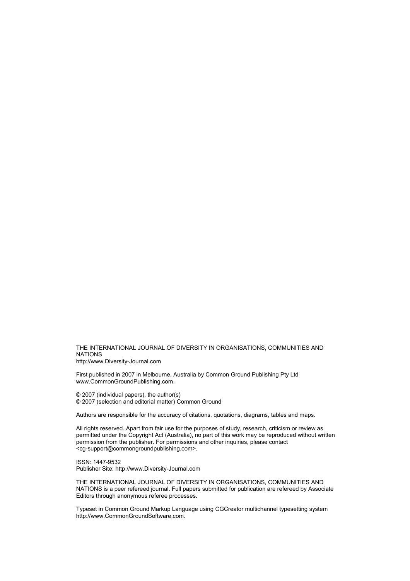THE INTERNATIONAL JOURNAL OF DIVERSITY IN ORGANISATIONS, COMMUNITIES AND NATIONS http://www.Diversity-Journal.com

First published in 2007 in Melbourne, Australia by Common Ground Publishing Pty Ltd www.CommonGroundPublishing.com.

© 2007 (individual papers), the author(s) © 2007 (selection and editorial matter) Common Ground

Authors are responsible for the accuracy of citations, quotations, diagrams, tables and maps.

All rights reserved. Apart from fair use for the purposes of study, research, criticism or review as permitted under the Copyright Act (Australia), no part of this work may be reproduced without written permission from the publisher. For permissions and other inquiries, please contact <cg-support@commongroundpublishing.com>.

ISSN: 1447-9532 Publisher Site: http://www.Diversity-Journal.com

THE INTERNATIONAL JOURNAL OF DIVERSITY IN ORGANISATIONS, COMMUNITIES AND NATIONS is a peer refereed journal. Full papers submitted for publication are refereed by Associate Editors through anonymous referee processes.

Typeset in Common Ground Markup Language using CGCreator multichannel typesetting system http://www.CommonGroundSoftware.com.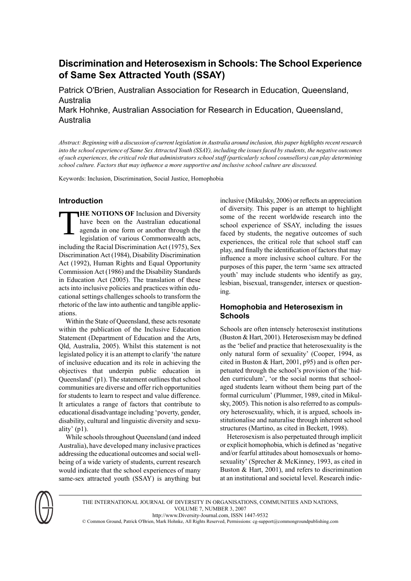# **Discrimination and Heterosexism in Schools: The School Experience of Same Sex Attracted Youth (SSAY)**

Patrick O'Brien, Australian Association for Research in Education, Queensland, Australia

Mark Hohnke, Australian Association for Research in Education, Queensland, Australia

Abstract: Beginning with a discussion of current legislation in Australia around inclusion, this paper highlights recent research into the school experience of Same Sex Attracted Youth (SSAY), including the issues faced by students, the negative outcomes of such experiences, the critical role that administrators school staff (particularly school counsellors) can play determining *school culture. Factors that may influence a more supportive and inclusive school culture are discussed.*

Keywords: Inclusion, Discrimination, Social Justice, Homophobia

# **Introduction**

T **HE NOTIONS OF** Inclusion and Diversity have been on the Australian educational agenda in one form or another through the legislation of various Commonwealth acts, including the Racial Discrimination Act (1975), Sex Discrimination Act (1984), Disability Discrimination Act (1992), Human Rights and Equal Opportunity Commission Act (1986) and the Disability Standards in Education Act (2005). The translation of these acts into inclusive policies and practices within educational settings challenges schools to transform the rhetoric of the law into authentic and tangible applications.

Within the State of Queensland, these acts resonate within the publication of the Inclusive Education Statement (Department of Education and the Arts, Qld, Australia, 2005). Whilst this statement is not legislated policy it is an attempt to clarify 'the nature of inclusive education and its role in achieving the objectives that underpin public education in Queensland' (p1). The statement outlines that school communities are diverse and offer rich opportunities for students to learn to respect and value difference. It articulates a range of factors that contribute to educational disadvantage including 'poverty, gender, disability, cultural and linguistic diversity and sexuality'  $(p1)$ .

While schools throughout Queensland (and indeed Australia), have developed many inclusive practices addressing the educational outcomes and social wellbeing of a wide variety of students, current research would indicate that the school experiences of many same-sex attracted youth (SSAY) is anything but inclusive (Mikulsky, 2006) or reflects an appreciation of diversity. This paper is an attempt to highlight some of the recent worldwide research into the school experience of SSAY, including the issues faced by students, the negative outcomes of such experiences, the critical role that school staff can play, and finally the identification of factors that may influence a more inclusive school culture. For the purposes of this paper, the term 'same sex attracted youth' may include students who identify as gay, lesbian, bisexual, transgender, intersex or questioning.

# **Homophobia and Heterosexism in Schools**

Schools are often intensely heterosexist institutions (Buston & Hart, 2001). Heterosexism may be defined as the 'belief and practice that heterosexuality is the only natural form of sexuality' (Cooper, 1994, as cited in Buston & Hart, 2001, p95) and is often perpetuated through the school's provision of the 'hidden curriculum', 'or the social norms that schoolaged students learn without them being part of the formal curriculum' (Plummer, 1989, cited in Mikulsky, 2005). This notion is also referred to as compulsory heterosexuality, which, it is argued, schools institutionalise and naturalise through inherent school structures (Martino, as cited in Beckett, 1998).

Heterosexism is also perpetuated through implicit or explicit homophobia, which is defined as'negative and/or fearful attitudes about homosexuals or homosexuality' (Sprecher & McKinney, 1993, as cited in Buston & Hart, 2001), and refers to discrimination at an institutional and societal level. Research indic-



THE INTERNATIONAL JOURNAL OF DIVERSITY IN ORGANISATIONS, COMMUNITIES AND NATIONS, VOLUME 7, NUMBER 3, 2007 http://www.Diversity-Journal.com, ISSN 1447-9532 © Common Ground, Patrick O'Brien, Mark Hohnke, All Rights Reserved, Permissions: cg-support@commongroundpublishing.com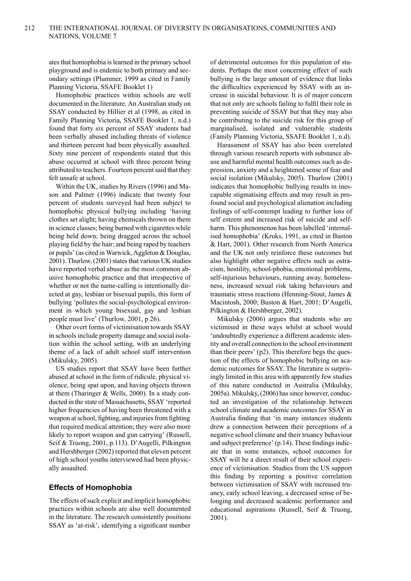ates that homophobia is learned in the primary school playground and is endemic to both primary and secondary settings (Plummer, 1999 as cited in Family Planning Victoria, SSAFE Booklet 1)

Homophobic practices within schools are well documented in the literature. An Australian study on SSAY conducted by Hillier et al (1998, as cited in Family Planning Victoria, SSAFE Booklet 1, n.d.) found that forty six percent of SSAY students had been verbally abused including threats of violence and thirteen percent had been physically assaulted. Sixty nine percent of respondents stated that this abuse occurred at school with three percent being attributed to teachers. Fourteen percent said that they felt unsafe at school.

Within the UK, studies by Rivers (1996) and Mason and Palmer (1996) indicate that twenty four percent of students surveyed had been subject to homophobic physical bullying including 'having clothes set alight; having chemicals thrown on them in science classes; being burned with cigarettes while being held down; being dragged across the school playing field by the hair; and being raped by teachers or pupils' (as cited in Warwick, Aggleton & Douglas,  $2001$ ). Thurlow,  $(2001)$  states that various UK studies have reported verbal abuse as the most common abusive homophobic practice and that irrespective of whether or not the name-calling is intentionally directed at gay, lesbian or bisexual pupils, this form of bullying 'pollutes the social-psychological environment in which young bisexual, gay and lesbian people must live' (Thurlow, 2001, p 26).

Other overt forms of victimisation towards SSAY in schools include property damage and social isolation within the school setting, with an underlying theme of a lack of adult school staff intervention (Mikulsky, 2005).

US studies report that SSAY have been further abused at school in the form of ridicule, physical violence, being spat upon, and having objects thrown at them (Tharinger & Wells, 2000). In a study conducted in the state of Massachusetts, SSAY 'reported higher frequencies of having been threatened with a weapon at school, fighting, and injuries from fighting that required medical attention; they were also more likely to report weapon and gun carrying' (Russell, Seif & Truong, 2001, p.113). D'Augelli, Pilkington and Hershberger (2002) reported that eleven percent of high school youths interviewed had been physically assaulted.

#### **Effects of Homophobia**

The effects of such explicit and implicit homophobic practices within schools are also well documented in the literature. The research consistently positions SSAY as 'at-risk', identifying a significant number

of detrimental outcomes for this population of students. Perhaps the most concerning effect of such bullying is the large amount of evidence that links the difficulties experienced by SSAY with an increase in suicidal behaviour. It is of major concern that not only are schools failing to fulfil their role in preventing suicide of SSAY but that they may also be contributing to the suicide risk for this group of marginalised, isolated and vulnerable students (Family Planning Victoria, SSAFE Booklet 1, n.d).

Harassment of SSAY has also been correlated through various research reports with substance abuse and harmful mental health outcomes such as depression, anxiety and a heightened sense of fear and social isolation (Mikulsky, 2005). Thurlow (2001) indicates that homophobic bullying results in inescapable stigmatising effects and may result in profound social and psychological alienation including feelings of self-contempt leading to further loss of self esteem and increased risk of suicide and selfharm. This phenomenon has been labelled 'internalised homophobia' (Kruks, 1991, as cited in Buston & Hart, 2001). Other research from North America and the UK not only reinforce these outcomes but also highlight other negative effects such as ostracism, hostility, school-phobia, emotional problems, self-injurious behaviours, running away, homelessness, increased sexual risk taking behaviours and traumatic stress reactions (Henning-Stout, James & Macintosh, 2000; Buston & Hart, 2001; D'Augelli, Pilkington & Hershberger, 2002).

Mikulsky (2006) argues that students who are victimised in these ways whilst at school would 'undoubtedly experience a different academic identity and overall connection to the school environment than their peers' (p2). This therefore begs the question of the effects of homophobic bullying on academic outcomes for SSAY. The literature is surprisingly limited in this area with apparently few studies of this nature conducted in Australia (Mikulsky, 2005a). Mikulsky, (2006) has since however, conducted an investigation of the relationship between school climate and academic outcomes for SSAY in Australia finding that 'in many instances students drew a connection between their perceptions of a negative school climate and their truancy behaviour and subject preference'  $(p.14)$ . These findings indicate that in some instances, school outcomes for SSAY will be a direct result of their school experience of victimisation. Studies from the US support this finding by reporting a positive correlation between victimisation of SSAY with increased truancy, early school leaving, a decreased sense of belonging and decreased academic performance and educational aspirations (Russell, Seif & Truong, 2001).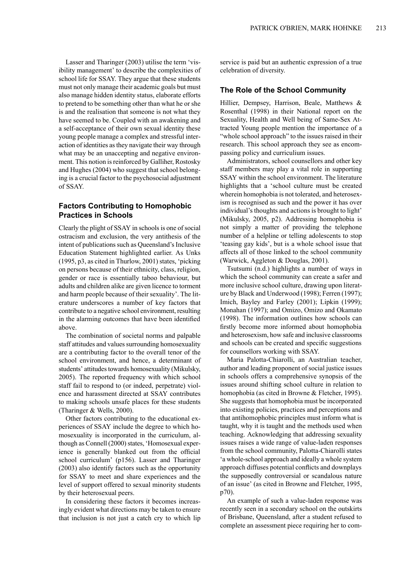Lasser and Tharinger (2003) utilise the term 'visibility management' to describe the complexities of school life for SSAY. They argue that these students must not only manage their academic goals but must also manage hidden identity status, elaborate efforts to pretend to be something other than what he or she is and the realisation that someone is not what they have seemed to be. Coupled with an awakening and a self-acceptance of their own sexual identity these young people manage a complex and stressful interaction of identities asthey navigate their way through what may be an unaccepting and negative environment. This notion is reinforced by Galliher, Rostosky and Hughes (2004) who suggest that school belonging is a crucial factor to the psychosocial adjustment of SSAY.

## **Factors Contributing to Homophobic Practices in Schools**

Clearly the plight of SSAY in schools is one of social ostracism and exclusion, the very antithesis of the intent of publications such as Queensland's Inclusive Education Statement highlighted earlier. As Unks  $(1995, p3, as cited in Thurlow, 2001) states, 'picking'$ on persons because of their ethnicity, class, religion, gender or race is essentially taboo behaviour, but adults and children alike are given licence to torment and harm people because of their sexuality'. The literature underscores a number of key factors that contribute to a negative school environment, resulting in the alarming outcomes that have been identified above.

The combination of societal norms and palpable staff attitudes and values surrounding homosexuality are a contributing factor to the overall tenor of the school environment, and hence, a determinant of students' attitudes towards homosexuality (Mikulsky, 2005). The reported frequency with which school staff fail to respond to (or indeed, perpetrate) violence and harassment directed at SSAY contributes to making schools unsafe places for these students (Tharinger & Wells, 2000).

Other factors contributing to the educational experiences of SSAY include the degree to which homosexuality is incorporated in the curriculum, although as Connell (2000) states, 'Homosexual experience is generally blanked out from the official school curriculum' (p156). Lasser and Tharinger (2003) also identify factors such as the opportunity for SSAY to meet and share experiences and the level of support offered to sexual minority students by their heterosexual peers.

In considering these factors it becomes increasingly evident what directions may be taken to ensure that inclusion is not just a catch cry to which lip service is paid but an authentic expression of a true celebration of diversity.

## **The Role of the School Community**

Hillier, Dempsey, Harrison, Beale, Matthews & Rosenthal (1998) in their National report on the Sexuality, Health and Well being of Same-Sex Attracted Young people mention the importance of a "whole school approach" to the issues raised in their research. This school approach they see as encompassing policy and curriculium issues.

Administrators, school counsellors and other key staff members may play a vital role in supporting SSAY within the school environment. The literature highlights that a 'school culture must be created wherein homophobia is not tolerated, and heterosexism is recognised as such and the power it has over individual's thoughts and actions is brought to light' (Mikulsky, 2005, p2). Addressing homophobia is not simply a matter of providing the telephone number of a helpline or telling adolescents to stop 'teasing gay kids', but is a whole school issue that affects all of those linked to the school community (Warwick, Aggleton & Douglas, 2001).

Tsutsumi (n.d.) highlights a number of ways in which the school community can create a safer and more inclusive school culture, drawing upon literature by Black and Underwood (1998); Ferren (1997); Imich, Bayley and Farley (2001); Lipkin (1999); Monahan (1997); and Omizo, Omizo and Okamato (1998). The information outlines how schools can firstly become more informed about homophobia and heterosexism, how safe and inclusive classrooms and schools can be created and specific suggestions for counsellors working with SSAY.

Maria Palotta-Chiarolli, an Australian teacher, author and leading proponent of social justice issues in schools offers a comprehensive synopsis of the issues around shifting school culture in relation to homophobia (as cited in Browne & Fletcher, 1995). She suggests that homophobia must be incorporated into existing policies, practices and perceptions and that antihomophobic principles must inform what is taught, why it is taught and the methods used when teaching. Acknowledging that addressing sexuality issues raises a wide range of value-laden responses from the school community, Palotta-Chiarolli states 'a whole-school approach and ideally a whole system approach diffuses potential conflicts and downplays the supposedly controversial or scandalous nature of an issue' (as cited in Browne and Fletcher, 1995, p70).

An example of such a value-laden response was recently seen in a secondary school on the outskirts of Brisbane, Queensland, after a student refused to complete an assessment piece requiring her to com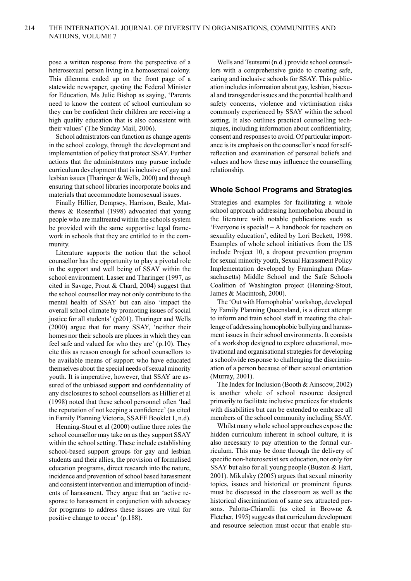pose a written response from the perspective of a heterosexual person living in a homosexual colony. This dilemma ended up on the front page of a statewide newspaper, quoting the Federal Minister for Education, Ms Julie Bishop as saying, 'Parents need to know the content of school curriculum so they can be confident their children are receiving a high quality education that is also consistent with their values' (The Sunday Mail, 2006).

School admistrators can function as change agents in the school ecology, through the development and implementation of policy that protect SSAY. Further actions that the administrators may pursue include curriculum development that is inclusive of gay and lesbian issues(Tharinger & Wells, 2000) and through ensuring that school libraries incorporate books and materials that accommodate homosexual issues.

Finally Hillier, Dempsey, Harrison, Beale, Matthews & Rosenthal (1998) advocated that young people who are maltreated within the schools system be provided with the same supportive legal framework in schools that they are entitled to in the community.

Literature supports the notion that the school counsellor has the opportunity to play a pivotal role in the support and well being of SSAY within the school environment. Lasser and Tharinger (1997, as cited in Savage, Prout & Chard, 2004) suggest that the school counsellor may not only contribute to the mental health of SSAY but can also 'impact the overall school climate by promoting issues of social justice for all students' (p201). Tharinger and Wells (2000) argue that for many SSAY, 'neither their homes nor their schools are places in which they can feel safe and valued for who they are' (p.10). They cite this as reason enough for school counsellors to be available means of support who have educated themselves about the special needs of sexual minority youth. It is imperative, however, that SSAY are assured of the unbiased support and confidentiality of any disclosures to school counsellors as Hillier et al (1998) noted that these school personnel often 'had the reputation of not keeping a confidence' (as cited in Family Planning Victoria, SSAFE Booklet 1, n.d).

Henning-Stout et al (2000) outline three roles the school counsellor may take on as they support SSAY within the school setting. These include establishing school-based support groups for gay and lesbian students and their allies, the provision of formalised education programs, direct research into the nature, incidence and prevention of school based harassment and consistent intervention and interruption of incidents of harassment. They argue that an 'active response to harassment in conjunction with advocacy for programs to address these issues are vital for positive change to occur' (p.188).

Wells and Tsutsumi (n.d.) provide school counsellors with a comprehensive guide to creating safe, caring and inclusive schools for SSAY. This publication includes information about gay, lesbian, bisexual and transgender issues and the potential health and safety concerns, violence and victimisation risks commonly experienced by SSAY within the school setting. It also outlines practical counselling techniques, including information about confidentiality, consent and responses to avoid. Of particular importance is its emphasis on the counsellor's need for selfreflection and examination of personal beliefs and values and how these may influence the counselling relationship.

## **Whole School Programs and Strategies**

Strategies and examples for facilitating a whole school approach addressing homophobia abound in the literature with notable publications such as 'Everyone is special! – A handbook for teachers on sexuality education', edited by Lori Beckett, 1998. Examples of whole school initiatives from the US include Project 10, a dropout prevention program for sexual minority youth, Sexual Harassment Policy Implementation developed by Framingham (Massachusetts) Middle School and the Safe Schools Coalition of Washington project (Henning-Stout, James & Macintosh, 2000).

The 'Out with Homophobia' workshop, developed by Family Planning Queensland, is a direct attempt to inform and train school staff in meeting the challenge of addressing homophobic bullying and harassment issues in their school environments. It consists of a workshop designed to explore educational, motivational and organisational strategies for developing a schoolwide response to challenging the discrimination of a person because of their sexual orientation (Murray, 2001).

The Index for Inclusion (Booth & Ainscow, 2002) is another whole of school resource designed primarily to facilitate inclusive practices for students with disabilities but can be extended to embrace all members of the school community including SSAY.

Whilst many whole school approaches expose the hidden curriculum inherent in school culture, it is also necessary to pay attention to the formal curriculum. This may be done through the delivery of specific non-heterosexist sex education, not only for SSAY but also for all young people (Buston & Hart, 2001). Mikulsky (2005) argues that sexual minority topics, issues and historical or prominent figures must be discussed in the classroom as well as the historical discrimination of same sex attracted persons. Palotta-Chiarolli (as cited in Browne & Fletcher, 1995) suggests that curriculum development and resource selection must occur that enable stu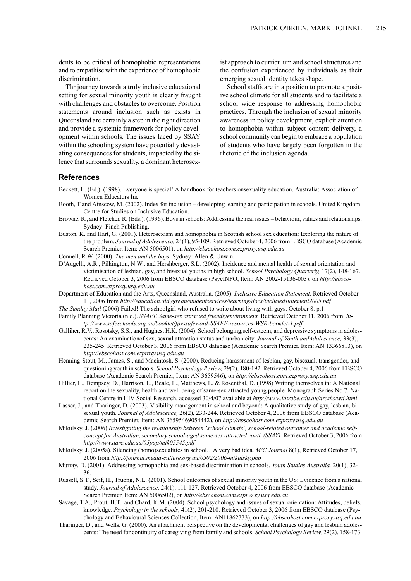dents to be critical of homophobic representations and to empathise with the experience of homophobic discrimination.

Thr journey towards a truly inclusive educational setting for sexual minority youth is clearly fraught with challenges and obstacles to overcome. Position statements around inclusion such as exists in Queensland are certainly a step in the right direction and provide a systemic framework for policy development within schools. The issues faced by SSAY within the schooling system have potentially devastating consequences for students, impacted by the silence that surrounds sexuality, a dominant heterosexist approach to curriculum and school structures and the confusion experienced by individuals as their emerging sexual identity takes shape.

School staffs are in a position to promote a positive school climate for all students and to facilitate a school wide response to addressing homophobic practices. Through the inclusion of sexual minority awareness in policy development, explicit attention to homophobia within subject content delivery, a school community can begin to embrace a population of students who have largely been forgotten in the rhetoric of the inclusion agenda.

#### **References**

- Beckett, L. (Ed.). (1998). Everyone is special! A handbook for teachers onsexuality education. Australia: Association of Women Educators Inc
- Booth, T and Ainscow, M. (2002). Index for inclusion developing learning and participation in schools. United Kingdom: Centre for Studies on Inclusive Education.
- Browne, R., and Fletcher, R. (Eds.). (1996). Boysin schools: Addressing the real issues behaviour, values and relationships. Sydney: Finch Publishing.
- Buston, K. and Hart, G. (2001). Heterosexism and homophobia in Scottish school sex education: Exploring the nature of the problem. *Journal of Adolescence,* 24(1), 95-109. Retrieved October 4, 2006 from EBSCO database (Academic Search Premier, Item: AN 5006501), on *http://ebscohost.com.ezproxy.usq.edu.au*
- Connell, R.W. (2000). *The men and the boys.* Sydney: Allen & Unwin.
- D'Augelli, A.R., Pilkington, N.W., and Hershberger, S.L. (2002). Incidence and mental health of sexual orientation and victimisation of lesbian, gay, and bisexual youths in high school. *School Psychology Quarterly,* 17(2), 148-167. Retrieved October 3, 2006 from EBSCO database (PsycINFO, Item: AN 2002-15136-003), on *http://ebscohost.com.ezproxy.usq.edu.au*
- Department of Education and the Arts, Queensland, Australia. (2005). *Inclusive Education Statement.* Retrieved October 11, 2006 from *http://education.qld.gov.au/studentservices/learning/docs/inclusedstatement2005.pdf*
- *The Sunday Mail* (2006) Failed! The schoolgirl who refused to write about living with gays. October 8. p.1.
- Family Planning Victoria (n.d.). *SSAFE Same-sex attracted friendlyenvironment.* Retrieved October 11, 2006 from *http://www.safeschools.org.au/booklet/fpvssafeword-SSAFE-resources-WSR-booklet-1.pdf*
- Galliher, R.V., Rosotsky, S.S., and Hughes, H.K. (2004). School belonging, self-esteem, and depressive symptoms in adolescents: An examinationof sex, sexual attraction status and unrbanicity. *Journal of Youth andAdolescence,* 33(3), 235-245. Retrieved October 3, 2006 from EBSCO database (Academic Search Premier, Item: AN 13366813), on *http://ebscohost.com.ezproxy.usq.edu.au*
- Henning-Stout, M., James, S., and Macintosh, S. (2000). Reducing harassment of lesbian, gay, bisexual, transgender, and questioning youth in schools. *School Psychology Review,* 29(2), 180-192. Retrieved October 4, 2006 from EBSCO database (Academic Search Premier, Item: AN 3659546), on *http://ebscohost.com.ezproxy.usq.edu.au*
- Hillier, L., Dempsey, D., Harrison, L., Beale, L., Matthews, L. & Rosenthal, D. (1998) Writing themselves in: A National report on the sexuality, health and well being of same-sex attracted young people. Monograph Series No 7. National Centre in HIV Social Research, accessed 30/4/07 available at *http://www.latrobe.edu.au/arcshs/wti.html*
- Lasser, J., and Tharinger, D. (2003). Visibility management in school and beyond: A qualitative study of gay, lesbian, bisexual youth. *Journal of Adolescence,* 26(2), 233-244. Retrieved October 4, 2006 from EBSCO database (Academic Search Premier, Item: AN 36595469054442), on *http://ebscohost.com.ezproxy.usq.edu.au*
- Mikulsky, J. (2006) *Investigating the relationship between 'school climate', school-related outcomes and academic selfconcept for Australian, secondary school-aged same-sex attracted youth (SSAY).* Retrieved October 3, 2006 from *http://www.aare.edu.au/05pap/mik05545.pdf*
- Mikulsky, J. (2005a). Silencing (homo)sexualities in school…A very bad idea. *M/C Journal* 8(1), Retrieved October 17, 2006 from *http://journal.media-culture.org.au/0502/2006-mikulsky.php*
- Murray, D. (2001). Addressing homophobia and sex-based discrimination in schools. *Youth Studies Australia.* 20(1), 32- 36.
- Russell, S.T., Seif, H., Truong, N.L. (2001). School outcomes of sexual minority youth in the US: Evidence from a national study. *Journal of Adolescence,* 24(1), 111-127. Retrieved October 4, 2006 from EBSCO database (Academic Search Premier, Item: AN 5006502), on *http://ebscohost.com.ezpr o xy.usq.edu.au*
- Savage, T.A., Prout, H.T., and Chard, K.M. (2004). School psychology and issues of sexual orientation: Attitudes, beliefs, knowledge. *Psychology in the schools*, 41(2), 201-210. Retrieved October 3, 2006 from EBSCO database (Psychology and Behavioural Sciences Collection, Item: AN11862333), on *http://ebscohost.com.ezproxy.usq.edu.au*
- Tharinger, D., and Wells, G. (2000). An attachment perspective on the developmental challenges of gay and lesbian adolescents: The need for continuity of caregiving from family and schools. *School Psychology Review,* 29(2), 158-173.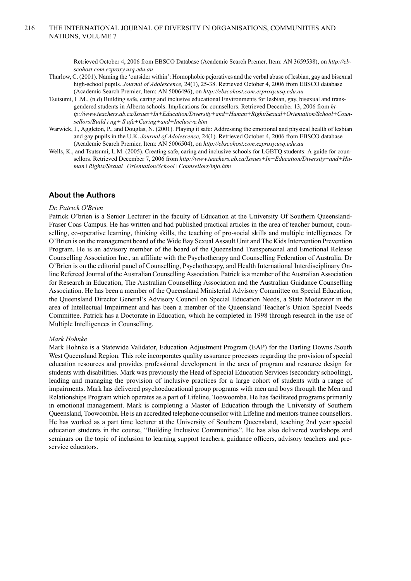Retrieved October 4, 2006 from EBSCO Database (Academic Search Premer, Item: AN 3659538), on *http://ebscohost.com.ezproxy.usq.edu.au*

- Thurlow, C. (2001). Naming the 'outsider within': Homophobic pejoratives and the verbal abuse of lesbian, gay and bisexual high-school pupils. *Journal of Adolescence,* 24(1), 25-38. Retrieved October 4, 2006 from EBSCO database (Academic Search Premier, Item: AN 5006496), on *http://ebscohost.com.ezproxy.usq.edu.au*
- Tsutsumi, L.M., (n.d) Building safe, caring and inclusive educational Environments for lesbian, gay, bisexual and transgendered students in Alberta schools: Implications for counsellors. Retrieved December 13, 2006 from *http://www.teachers.ab.ca/Issues+In+Education/Diversity+and+Human+Right/Sexual+Orientation/School+Counsellors/Build i ng+ S afe+Caring+and+Inclusive.htm*
- Warwick, I., Aggleton, P., and Douglas, N. (2001). Playing it safe: Addressing the emotional and physical health of lesbian and gay pupils in the U.K. *Journal of Adolescence,* 24(1). Retrieved October 4, 2006 from EBSCO database (Academic Search Premier, Item: AN 5006504), on *http://ebscohost.com.ezproxy.usq.edu.au*
- Wells, K., and Tsutsumi, L.M. (2005). Creating safe, caring and inclusive schools for LGBTQ students: A guide for counsellors. Retrieved December 7, 2006 from *http://www.teachers.ab.ca/Issues+In+Education/Diversity+and+Human+Rights/Sexual+Orientation/School+Counsellors/info.htm*

## **About the Authors**

#### *Dr. Patrick O'Brien*

Patrick O'brien is a Senior Lecturer in the faculty of Education at the University Of Southern Queensland-Fraser Coas Campus. He has written and had published practical articles in the area of teacher burnout, counselling, co-operative learning, thinking skills, the teaching of pro-social skills and multiple intelligences. Dr O'Brien is on the management board of the Wide Bay Sexual Assault Unit and The Kids Intervention Prevention Program. He is an advisory member of the board of the Queensland Transpersonal and Emotional Release Counselling Association Inc., an affiliate with the Psychotherapy and Counselling Federation of Australia. Dr O'Brien is on the editorial panel of Counselling, Psychotherapy, and Health International Interdisciplinary Online Refereed Journal of the Australian Counselling Association. Patrick is a member of the Australian Association for Research in Education, The Australian Counselling Association and the Australian Guidance Counselling Association. He has been a member of the Queensland Ministerial Advisory Committee on Special Education; the Queensland Director General's Advisory Council on Special Education Needs, a State Moderator in the area of Intellectual Impairment and has been a member of the Queensland Teacher's Union Special Needs Committee. Patrick has a Doctorate in Education, which he completed in 1998 through research in the use of Multiple Intelligences in Counselling.

#### *Mark Hohnke*

Mark Hohnke is a Statewide Validator, Education Adjustment Program (EAP) for the Darling Downs /South West Queensland Region. This role incorporates quality assurance processes regarding the provision of special education resources and provides professional development in the area of program and resource design for students with disabilities. Mark was previously the Head of Special Education Services (secondary schooling), leading and managing the provision of inclusive practices for a large cohort of students with a range of impairments. Mark has delivered psychoeducational group programs with men and boys through the Men and Relationships Program which operates as a part of Lifeline, Toowoomba. He has facilitated programs primarily in emotional management. Mark is completing a Master of Education through the University of Southern Queensland, Toowoomba. He is an accredited telephone counsellor with Lifeline and mentorstrainee counsellors. He has worked as a part time lecturer at the University of Southern Queensland, teaching 2nd year special education students in the course, "Building Inclusive Communities". He has also delivered workshops and seminars on the topic of inclusion to learning support teachers, guidance officers, advisory teachers and preservice educators.